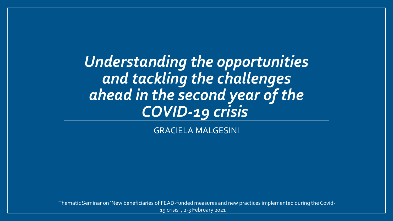*Understanding the opportunities and tackling the challenges ahead in the second year of the COVID-19 crisis*

GRACIELA MALGESINI

Thematic Seminar on 'New beneficiaries of FEAD-funded measures and new practices implemented during the Covid-19 crisis' , 2-3 February 2021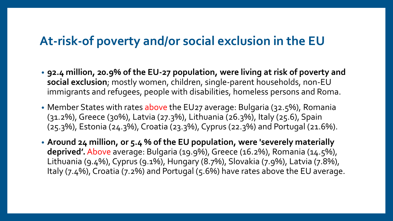## **At-risk-of poverty and/or social exclusion in the EU**

- **92.4 million, 20.9% of the EU-27 population, were living at risk of poverty and social exclusion**; mostly women, children, single-parent households, non-EU immigrants and refugees, people with disabilities, homeless persons and Roma.
- Member States with rates above the EU27 average: Bulgaria (32.5%), Romania (31.2%), Greece (30%), Latvia (27.3%), Lithuania (26.3%), Italy (25.6), Spain (25.3%), Estonia (24.3%), Croatia (23.3%), Cyprus (22.3%) and Portugal (21.6%).
- **Around 24 million, or 5.4 % of the EU population, were 'severely materially deprived'.** Above average: Bulgaria (19.9%), Greece (16.2%), Romania (14.5%), Lithuania (9.4%), Cyprus (9.1%), Hungary (8.7%), Slovakia (7.9%), Latvia (7.8%), Italy (7.4%), Croatia (7.2%) and Portugal (5.6%) have rates above the EU average.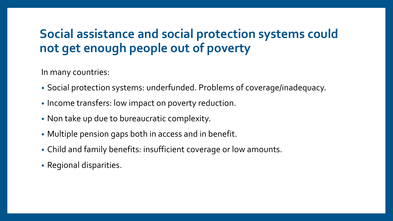# **Social assistance and social protection systems could not get enough people out of poverty**

In many countries:

- Social protection systems: underfunded. Problems of coverage/inadequacy.
- Income transfers: low impact on poverty reduction.
- Non take up due to bureaucratic complexity.
- Multiple pension gaps both in access and in benefit.
- Child and family benefits: insufficient coverage or low amounts.
- Regional disparities.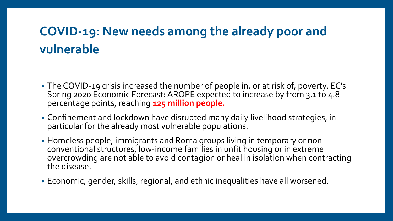# **COVID-19: New needs among the already poor and vulnerable**

- The COVID-19 crisis increased the number of people in, or at risk of, poverty. EC's Spring 2020 Economic Forecast: AROPE expected to increase by from 3.1 to 4.8 percentage points, reaching **125 million people.**
- Confinement and lockdown have disrupted many daily livelihood strategies, in particular for the already most vulnerable populations.
- Homeless people, immigrants and Roma groups living in temporary or nonconventional structures, low-income families in unfit housing or in extreme overcrowding are not able to avoid contagion or heal in isolation when contracting the disease.
- Economic, gender, skills, regional, and ethnic inequalities have all worsened.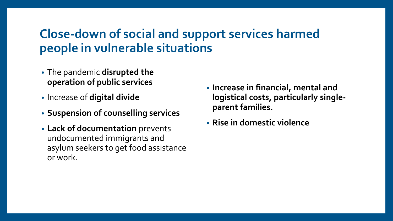# **Close-down of social and support services harmed people in vulnerable situations**

- The pandemic **disrupted the operation of public services**
- Increase of **digital divide**
- **Suspension of counselling services**
- **Lack of documentation** prevents undocumented immigrants and asylum seekers to get food assistance or work.
- **Increase in financial, mental and logistical costs, particularly singleparent families.**
- **Rise in domestic violence**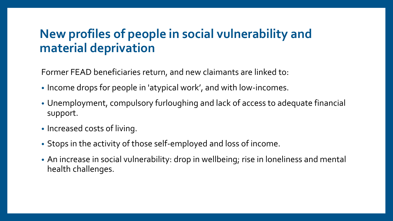## **New profiles of people in social vulnerability and material deprivation**

Former FEAD beneficiaries return, and new claimants are linked to:

- Income drops for people in 'atypical work', and with low-incomes.
- Unemployment, compulsory furloughing and lack of access to adequate financial support.
- Increased costs of living.
- Stops in the activity of those self-employed and loss of income.
- An increase in social vulnerability: drop in wellbeing; rise in loneliness and mental health challenges.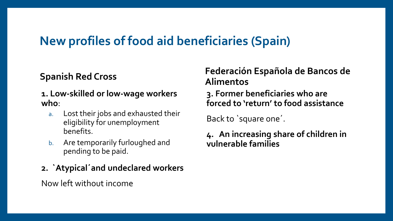## **New profiles of food aid beneficiaries (Spain)**

#### **Spanish Red Cross**

- **1. Low-skilled or low-wage workers who**:
	- a. Lost their jobs and exhausted their eligibility for unemployment benefits.
	- b. Are temporarily furloughed and pending to be paid.
- **2. `Atypical´and undeclared workers**

Now left without income

#### **Federación Española de Bancos de Alimentos**

#### **3. Former beneficiaries who are forced to 'return' to food assistance**

Back to `square one´.

#### **4. An increasing share of children in vulnerable families**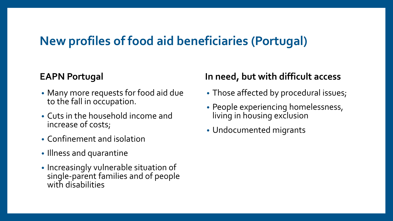## **New profiles of food aid beneficiaries (Portugal)**

#### **EAPN Portugal**

- Many more requests for food aid due to the fall in occupation.
- Cuts in the household income and increase of costs;
- Confinement and isolation
- Illness and quarantine
- Increasingly vulnerable situation of single-parent families and of people with disabilities

#### **In need, but with difficult access**

- Those affected by procedural issues;
- People experiencing homelessness, living in housing exclusion
- Undocumented migrants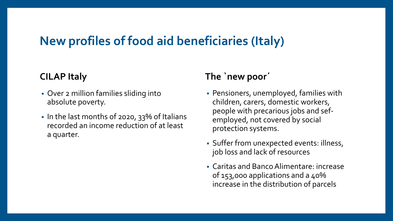## **New profiles of food aid beneficiaries (Italy)**

#### **CILAP Italy**

- Over 2 million families sliding into absolute poverty.
- In the last months of 2020, 33% of Italians recorded an income reduction of at least a quarter.

#### **The `new poor´**

- Pensioners, unemployed, families with children, carers, domestic workers, people with precarious jobs and sefemployed, not covered by social protection systems.
- Suffer from unexpected events: illness, job loss and lack of resources
- Caritas and Banco Alimentare: increase of 153,000 applications and a 40% increase in the distribution of parcels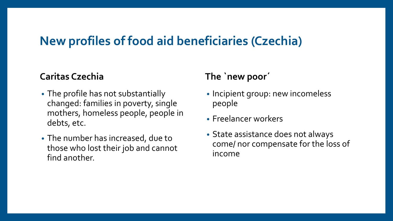## **New profiles of food aid beneficiaries (Czechia)**

#### **Caritas Czechia**

- The profile has not substantially changed: families in poverty, single mothers, homeless people, people in debts, etc.
- The number has increased, due to those who lost their job and cannot find another.

#### **The `new poor´**

- Incipient group: new incomeless people
- Freelancer workers
- State assistance does not always come/ nor compensate for the loss of income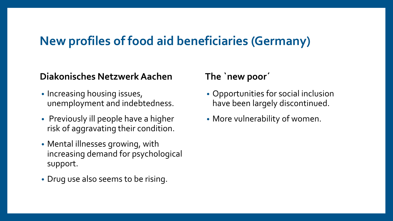## **New profiles of food aid beneficiaries (Germany)**

#### **Diakonisches NetzwerkAachen**

- Increasing housing issues, unemployment and indebtedness.
- Previously ill people have a higher risk of aggravating their condition.
- Mental illnesses growing, with increasing demand for psychological support.
- Drug use also seems to be rising.

#### **The `new poor´**

- Opportunities for social inclusion have been largely discontinued.
- More vulnerability of women.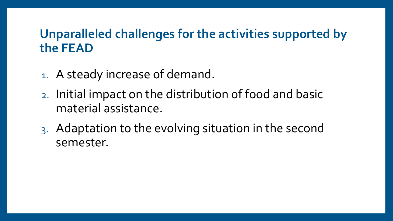## **Unparalleled challenges for the activities supported by the FEAD**

- 1. A steady increase of demand.
- 2. Initial impact on the distribution of food and basic material assistance.
- 3. Adaptation to the evolving situation in the second semester.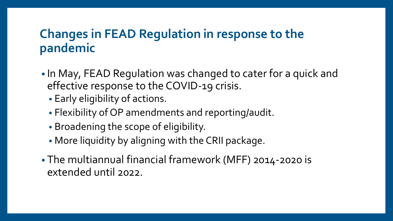## **Changes in FEAD Regulation in response to the pandemic**

- In May, FEAD Regulation was changed to cater for a quick and effective response to the COVID-19 crisis.
	- Early eligibility of actions.
	- Flexibility of OP amendments and reporting/audit.
	- Broadening the scope of eligibility.
	- More liquidity by aligning with the CRII package.
- The multiannual financial framework (MFF) 2014-2020 is extended until 2022.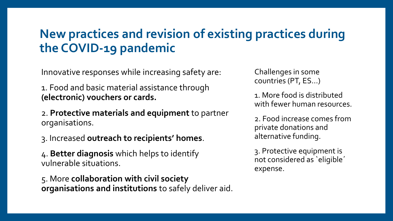# **New practices and revision of existing practices during the COVID-19 pandemic**

Innovative responses while increasing safety are:

1. Food and basic material assistance through **(electronic) vouchers or cards.**

2. **Protective materials and equipment** to partner organisations.

3. Increased **outreach to recipients' homes**.

4. **Better diagnosis** which helps to identify vulnerable situations.

5. More **collaboration with civil society organisations and institutions** to safely deliver aid. Challenges in some countries (PT, ES…)

1. More food is distributed with fewer human resources.

2. Food increase comes from private donations and alternative funding.

3. Protective equipment is not considered as `eligible´ expense.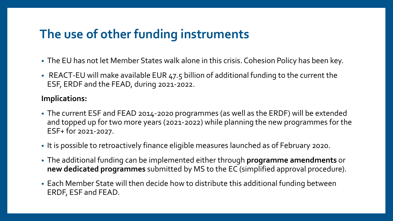## **The use of other funding instruments**

- The EU has not let Member States walk alone in this crisis. Cohesion Policy has been key.
- REACT-EU will make available EUR 47.5 billion of additional funding to the current the ESF, ERDF and the FEAD, during 2021-2022.

#### **Implications:**

- The current ESF and FEAD 2014-2020 programmes (as well as the ERDF) will be extended and topped up for two more years (2021-2022) while planning the new programmes for the ESF+ for 2021-2027.
- It is possible to retroactively finance eligible measures launched as of February 2020.
- The additional funding can be implemented either through **programme amendments** or **new dedicated programmes** submitted by MS to the EC (simplified approval procedure).
- Each Member State will then decide how to distribute this additional funding between ERDF, ESF and FEAD.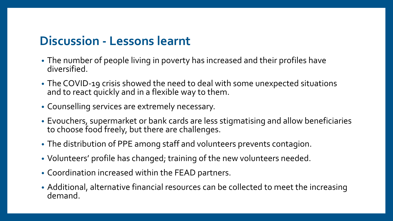## **Discussion - Lessons learnt**

- The number of people living in poverty has increased and their profiles have diversified.
- The COVID-19 crisis showed the need to deal with some unexpected situations and to react quickly and in a flexible way to them.
- Counselling services are extremely necessary.
- Evouchers, supermarket or bank cards are less stigmatising and allow beneficiaries to choose food freely, but there are challenges.
- The distribution of PPE among staff and volunteers prevents contagion.
- Volunteers' profile has changed; training of the new volunteers needed.
- Coordination increased within the FEAD partners.
- Additional, alternative financial resources can be collected to meet the increasing demand.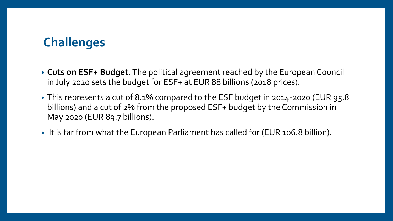# **Challenges**

- **Cuts on ESF+ Budget.**The political agreement reached by the European Council in July 2020 sets the budget for ESF+ at EUR 88 billions (2018 prices).
- This represents a cut of 8.1% compared to the ESF budget in 2014-2020 (EUR 95.8 billions) and a cut of 2% from the proposed ESF+ budget by the Commission in May 2020 (EUR 89.7 billions).
- It is far from what the European Parliament has called for (EUR 106.8 billion).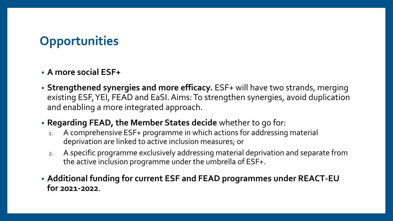# **Opportunities**

#### • **A more social ESF+**

- **Strengthened synergies and more efficacy.** ESF+ will have two strands, merging existing ESF, YEI, FEAD and EaSI. Aims: To strengthen synergies, avoid duplication and enabling a more integrated approach.
- **Regarding FEAD, the Member States decide** whether to go for:
	- 1. A comprehensive ESF+ programme in which actions for addressing material deprivation are linked to active inclusion measures; or
	- 2. A specific programme exclusively addressing material deprivation and separate from the active inclusion programme under the umbrella of ESF+.
- **Additional funding for current ESF and FEAD programmes under REACT-EU for 2021-2022**.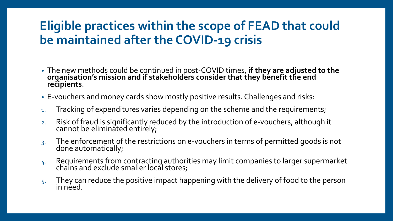# **Eligible practices within the scope of FEAD that could be maintained after the COVID-19 crisis**

- The new methods could be continued in post-COVID times, **if they are adjusted to the organisation's mission and if stakeholders consider that they benefit the end recipients**.
- E-vouchers and money cards show mostly positive results. Challenges and risks:
- 1. Tracking of expenditures varies depending on the scheme and the requirements;
- 2. Risk of fraud is significantly reduced by the introduction of e-vouchers, although it cannot be eliminated entirely;
- 3. The enforcement of the restrictions on e-vouchers in terms of permitted goods is not done automatically;
- 4. Requirements from contracting authorities may limit companies to larger supermarket chains and exclude smaller local stores;
- $5.$  They can reduce the positive impact happening with the delivery of food to the person in néed.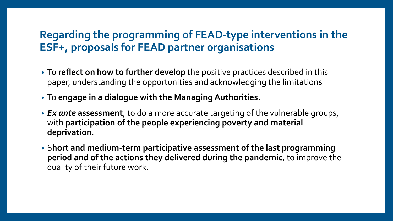### **Regarding the programming of FEAD-type interventions in the ESF+, proposals for FEAD partner organisations**

- To **reflect on how to further develop** the positive practices described in this paper, understanding the opportunities and acknowledging the limitations
- To **engage in a dialogue with the Managing Authorities**.
- *Ex ante* **assessment**, to do a more accurate targeting of the vulnerable groups, with **participation of the people experiencing poverty and material deprivation**.
- S**hort and medium-term participative assessment of the last programming period and of the actions they delivered during the pandemic**, to improve the quality of their future work.